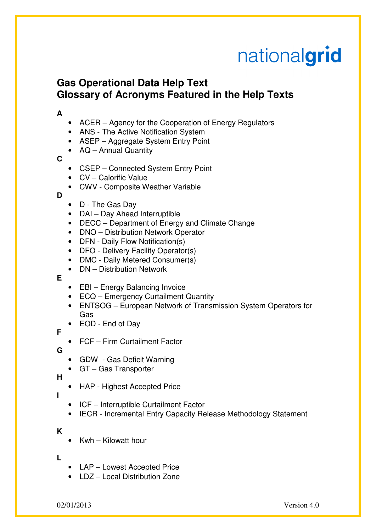# nationalgrid

## **Gas Operational Data Help Text Glossary of Acronyms Featured in the Help Texts**

#### **A**

- ACER Agency for the Cooperation of Energy Regulators
- ANS The Active Notification System
- ASEP Aggregate System Entry Point
- AQ Annual Quantity

## **C**

- CSEP Connected System Entry Point
- CV Calorific Value
- CWV Composite Weather Variable

**D** 

- D The Gas Day
- DAI Day Ahead Interruptible
- DECC Department of Energy and Climate Change
- DNO Distribution Network Operator
- DFN Daily Flow Notification(s)
- DFO Delivery Facility Operator(s)
- DMC Daily Metered Consumer(s)
- DN Distribution Network

#### **E**

- EBI Energy Balancing Invoice
- ECQ Emergency Curtailment Quantity
- ENTSOG European Network of Transmission System Operators for Gas
- EOD End of Day
- FCF Firm Curtailment Factor

## **G**

**F** 

- GDW Gas Deficit Warning
- GT Gas Transporter

## **H**

- HAP Highest Accepted Price
- **I**
- ICF Interruptible Curtailment Factor
- IECR Incremental Entry Capacity Release Methodology Statement

## **K**

• Kwh – Kilowatt hour

## **L**

- LAP Lowest Accepted Price
- LDZ Local Distribution Zone